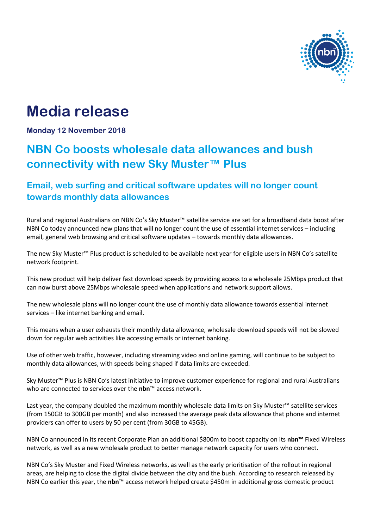

# **Media release**

**Monday 12 November 2018**

## **NBN Co boosts wholesale data allowances and bush connectivity with new Sky Muster™ Plus**

## **Email, web surfing and critical software updates will no longer count towards monthly data allowances**

Rural and regional Australians on NBN Co's Sky Muster™ satellite service are set for a broadband data boost after NBN Co today announced new plans that will no longer count the use of essential internet services – including email, general web browsing and critical software updates – towards monthly data allowances.

The new Sky Muster™ Plus product is scheduled to be available next year for eligible users in NBN Co's satellite network footprint.

This new product will help deliver fast download speeds by providing access to a wholesale 25Mbps product that can now burst above 25Mbps wholesale speed when applications and network support allows.

The new wholesale plans will no longer count the use of monthly data allowance towards essential internet services – like internet banking and email.

This means when a user exhausts their monthly data allowance, wholesale download speeds will not be slowed down for regular web activities like accessing emails or internet banking.

Use of other web traffic, however, including streaming video and online gaming, will continue to be subject to monthly data allowances, with speeds being shaped if data limits are exceeded.

Sky Muster™ Plus is NBN Co's latest initiative to improve customer experience for regional and rural Australians who are connected to services over the **nbn**™ access network.

Last year, the company doubled the maximum monthly wholesale data limits on Sky Muster™ satellite services (from 150GB to 300GB per month) and also increased the average peak data allowance that phone and internet providers can offer to users by 50 per cent (from 30GB to 45GB).

NBN Co announced in its recent Corporate Plan an additional \$800m to boost capacity on its **nbn™** Fixed Wireless network, as well as a new wholesale product to better manage network capacity for users who connect.

NBN Co's Sky Muster and Fixed Wireless networks, as well as the early prioritisation of the rollout in regional areas, are helping to close the digital divide between the city and the bush. According to research released by NBN Co earlier this year, the **nbn**™ access network helped create \$450m in additional gross domestic product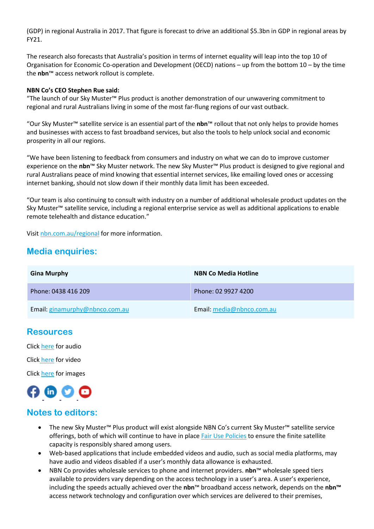(GDP) in regional Australia in 2017. That figure is forecast to drive an additional \$5.3bn in GDP in regional areas by FY21.

The research also forecasts that Australia's position in terms of internet equality will leap into the top 10 of Organisation for Economic Co-operation and Development (OECD) nations – up from the bottom 10 – by the time the **nbn**™ access network rollout is complete.

#### **NBN Co's CEO Stephen Rue said:**

"The launch of our Sky Muster™ Plus product is another demonstration of our unwavering commitment to regional and rural Australians living in some of the most far-flung regions of our vast outback.

"Our Sky Muster™ satellite service is an essential part of the **nbn**™ rollout that not only helps to provide homes and businesses with access to fast broadband services, but also the tools to help unlock social and economic prosperity in all our regions.

"We have been listening to feedback from consumers and industry on what we can do to improve customer experience on the **nbn**™ Sky Muster network. The new Sky Muster™ Plus product is designed to give regional and rural Australians peace of mind knowing that essential internet services, like emailing loved ones or accessing internet banking, should not slow down if their monthly data limit has been exceeded.

"Our team is also continuing to consult with industry on a number of additional wholesale product updates on the Sky Muster™ satellite service, including a regional enterprise service as well as additional applications to enable remote telehealth and distance education."

Visit [nbn.com.au/regional](file:///C:/Users/herk_/OneDrive/Nachos%20Journalism/Clients/NBN/11%20November/Gina%20Murphy/nbn.com.au/regional) for more information.

## **Media enquiries:**

| <b>Gina Murphy</b>             | <b>NBN Co Media Hotline</b> |
|--------------------------------|-----------------------------|
| Phone: 0438 416 209            | Phone: 02 9927 4200         |
| Email: ginamurphy@nbnco.com.au | Email: media@nbnco.com.au   |

### **Resources**

Clic[k here](https://www.dropbox.com/sh/fb3l26jzekod5p1/AAClDBjtqB2TJoXPDy6RneR5a?dl=0) for audio

Click [here](https://www.dropbox.com/sh/vuc1m4uag1xqae3/AADgD9IF37wKZBC-oXhytFYHa?dl=0) for video

Clic[k here](https://www.dropbox.com/sh/94nf3xyoxb6jfoz/AABWW6AffsdD0JJsK72W1r-ba?dl=0) for images



## **Notes to editors:**

- The new Sky Muster™ Plus product will exist alongside NBN Co's current Sky Muster™ satellite service offerings, both of which will continue to have in place Fair [Use Policies](https://www.nbnco.com.au/content/dam/nbnco2/2018/documents/sell/wba/SFAA-Wholesale-Broadband-Agreement-FairUsePolicy-nbn-Ethernet-Product-Module.pdf) to ensure the finite satellite capacity is responsibly shared among users.
- Web-based applications that include embedded videos and audio, such as social media platforms, may have audio and videos disabled if a user's monthly data allowance is exhausted.
- NBN Co provides wholesale services to phone and internet providers. **nbn**™ wholesale speed tiers available to providers vary depending on the access technology in a user's area. A user's experience, including the speeds actually achieved over the **nbn**™ broadband access network, depends on the **nbn™** access network technology and configuration over which services are delivered to their premises,